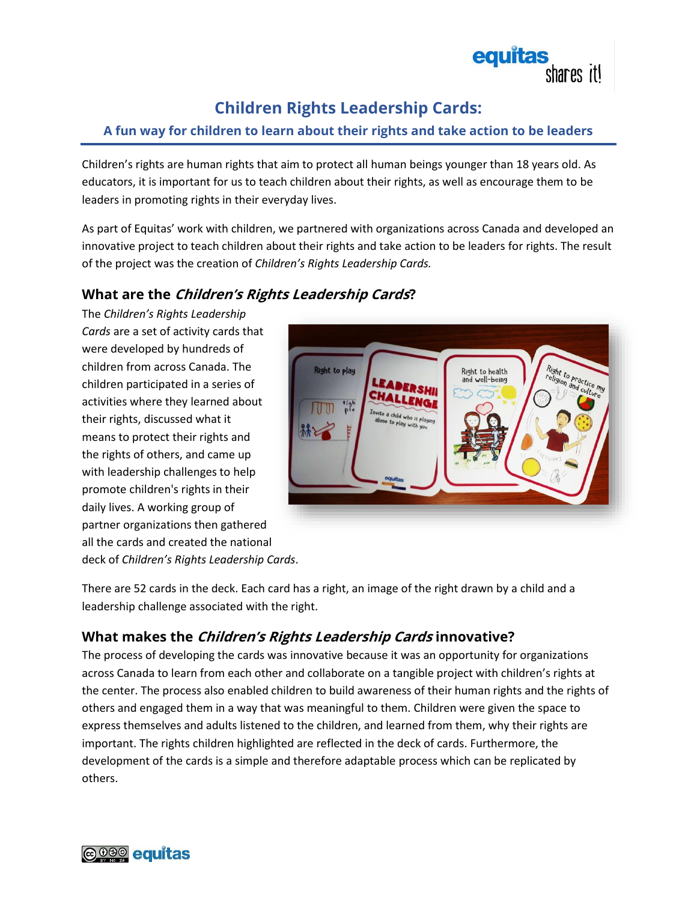

# **Children Rights Leadership Cards:**

### **A fun way for children to learn about their rights and take action to be leaders**

Children's rights are human rights that aim to protect all human beings younger than 18 years old. As educators, it is important for us to teach children about their rights, as well as encourage them to be leaders in promoting rights in their everyday lives.

As part of Equitas' work with children, we partnered with organizations across Canada and developed an innovative project to teach children about their rights and take action to be leaders for rights. The result of the project was the creation of *Children's Rights Leadership Cards.*

## **What are the Children's Rights Leadership Cards?**

The *Children's Rights Leadership Cards* are a set of activity cards that were developed by hundreds of children from across Canada. The children participated in a series of activities where they learned about their rights, discussed what it means to protect their rights and the rights of others, and came up with leadership challenges to help promote children's rights in their daily lives. A working group of partner organizations then gathered all the cards and created the national deck of *Children's Rights Leadership Cards*.



There are 52 cards in the deck. Each card has a right, an image of the right drawn by a child and a leadership challenge associated with the right.

## **What makes the Children's Rights Leadership Cards innovative?**

The process of developing the cards was innovative because it was an opportunity for organizations across Canada to learn from each other and collaborate on a tangible project with children's rights at the center. The process also enabled children to build awareness of their human rights and the rights of others and engaged them in a way that was meaningful to them. Children were given the space to express themselves and adults listened to the children, and learned from them, why their rights are important. The rights children highlighted are reflected in the deck of cards. Furthermore, the development of the cards is a simple and therefore adaptable process which can be replicated by others.